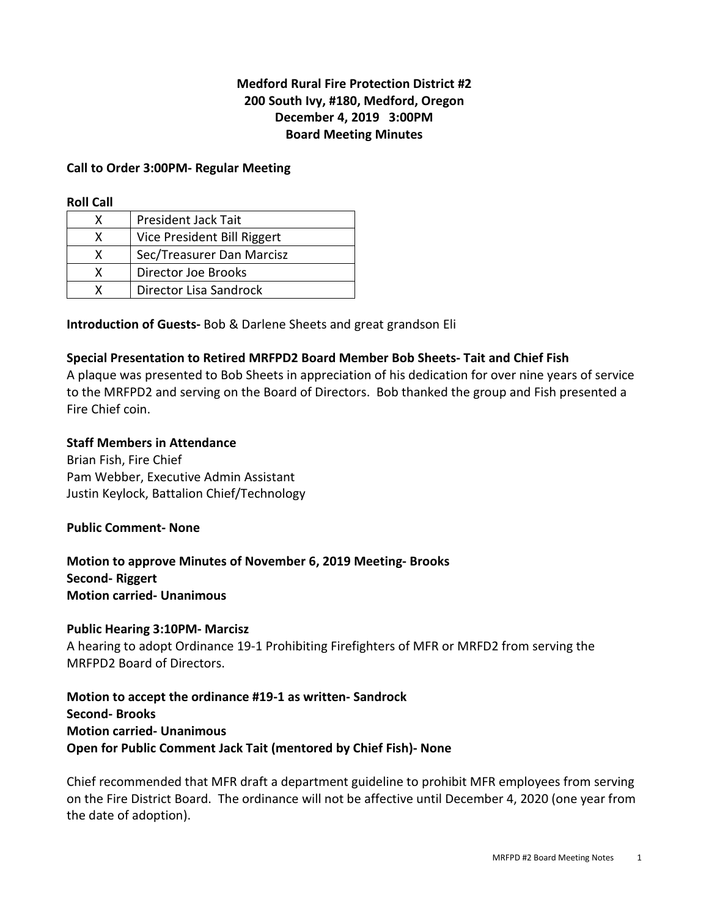# **Medford Rural Fire Protection District #2 200 South Ivy, #180, Medford, Oregon December 4, 2019 3:00PM Board Meeting Minutes**

#### **Call to Order 3:00PM- Regular Meeting**

#### **Roll Call**

| x | <b>President Jack Tait</b>  |
|---|-----------------------------|
| x | Vice President Bill Riggert |
| x | Sec/Treasurer Dan Marcisz   |
| x | Director Joe Brooks         |
|   | Director Lisa Sandrock      |

**Introduction of Guests-** Bob & Darlene Sheets and great grandson Eli

#### **Special Presentation to Retired MRFPD2 Board Member Bob Sheets- Tait and Chief Fish**

A plaque was presented to Bob Sheets in appreciation of his dedication for over nine years of service to the MRFPD2 and serving on the Board of Directors. Bob thanked the group and Fish presented a Fire Chief coin.

#### **Staff Members in Attendance**

Brian Fish, Fire Chief Pam Webber, Executive Admin Assistant Justin Keylock, Battalion Chief/Technology

#### **Public Comment- None**

**Motion to approve Minutes of November 6, 2019 Meeting- Brooks Second- Riggert Motion carried- Unanimous** 

#### **Public Hearing 3:10PM- Marcisz**

A hearing to adopt Ordinance 19-1 Prohibiting Firefighters of MFR or MRFD2 from serving the MRFPD2 Board of Directors.

**Motion to accept the ordinance #19-1 as written- Sandrock Second- Brooks Motion carried- Unanimous Open for Public Comment Jack Tait (mentored by Chief Fish)- None** 

Chief recommended that MFR draft a department guideline to prohibit MFR employees from serving on the Fire District Board. The ordinance will not be affective until December 4, 2020 (one year from the date of adoption).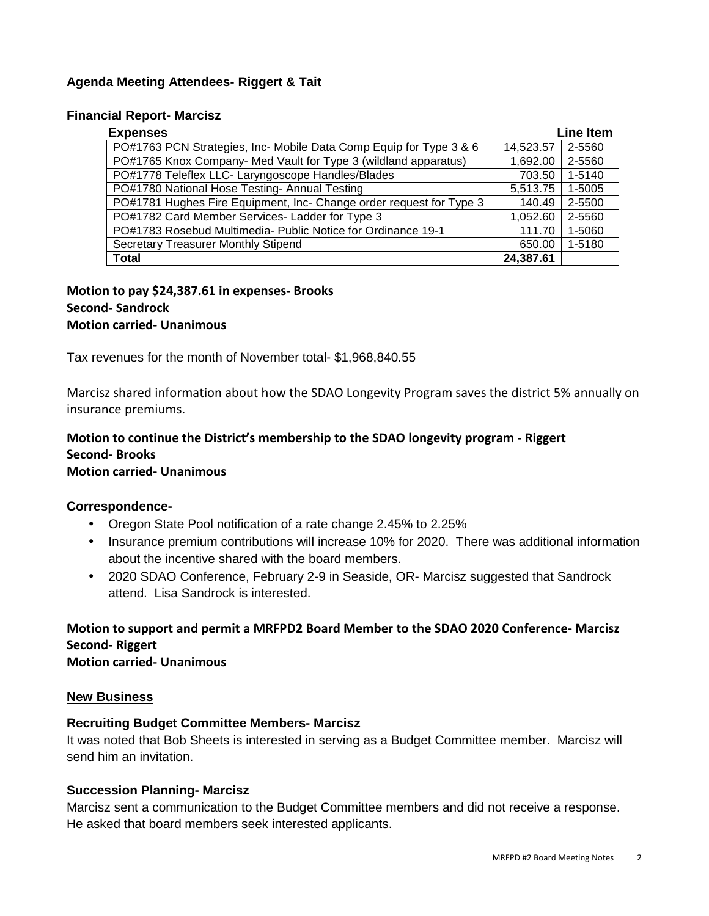# **Agenda Meeting Attendees- Riggert & Tait**

#### **Financial Report- Marcisz**

| <b>Expenses</b>                                                     | <b>Line Item</b> |        |
|---------------------------------------------------------------------|------------------|--------|
| PO#1763 PCN Strategies, Inc- Mobile Data Comp Equip for Type 3 & 6  | 14,523.57        | 2-5560 |
| PO#1765 Knox Company- Med Vault for Type 3 (wildland apparatus)     | 1,692.00         | 2-5560 |
| PO#1778 Teleflex LLC- Laryngoscope Handles/Blades                   |                  | 1-5140 |
| PO#1780 National Hose Testing- Annual Testing                       | 5,513.75         | 1-5005 |
| PO#1781 Hughes Fire Equipment, Inc- Change order request for Type 3 | 140.49           | 2-5500 |
| PO#1782 Card Member Services- Ladder for Type 3                     | 1,052.60         | 2-5560 |
| PO#1783 Rosebud Multimedia- Public Notice for Ordinance 19-1        |                  | 1-5060 |
| <b>Secretary Treasurer Monthly Stipend</b>                          | 650.00           | 1-5180 |
| Total                                                               | 24,387.61        |        |

## **Motion to pay \$24,387.61 in expenses- Brooks Second- Sandrock Motion carried- Unanimous**

Tax revenues for the month of November total- \$1,968,840.55

Marcisz shared information about how the SDAO Longevity Program saves the district 5% annually on insurance premiums.

# **Motion to continue the District's membership to the SDAO longevity program - Riggert Second- Brooks**

# **Motion carried- Unanimous**

## **Correspondence-**

- Oregon State Pool notification of a rate change 2.45% to 2.25%
- Insurance premium contributions will increase 10% for 2020. There was additional information about the incentive shared with the board members.
- 2020 SDAO Conference, February 2-9 in Seaside, OR- Marcisz suggested that Sandrock attend. Lisa Sandrock is interested.

**Motion to support and permit a MRFPD2 Board Member to the SDAO 2020 Conference- Marcisz Second- Riggert Motion carried- Unanimous**

#### **New Business**

## **Recruiting Budget Committee Members- Marcisz**

It was noted that Bob Sheets is interested in serving as a Budget Committee member. Marcisz will send him an invitation.

## **Succession Planning- Marcisz**

Marcisz sent a communication to the Budget Committee members and did not receive a response. He asked that board members seek interested applicants.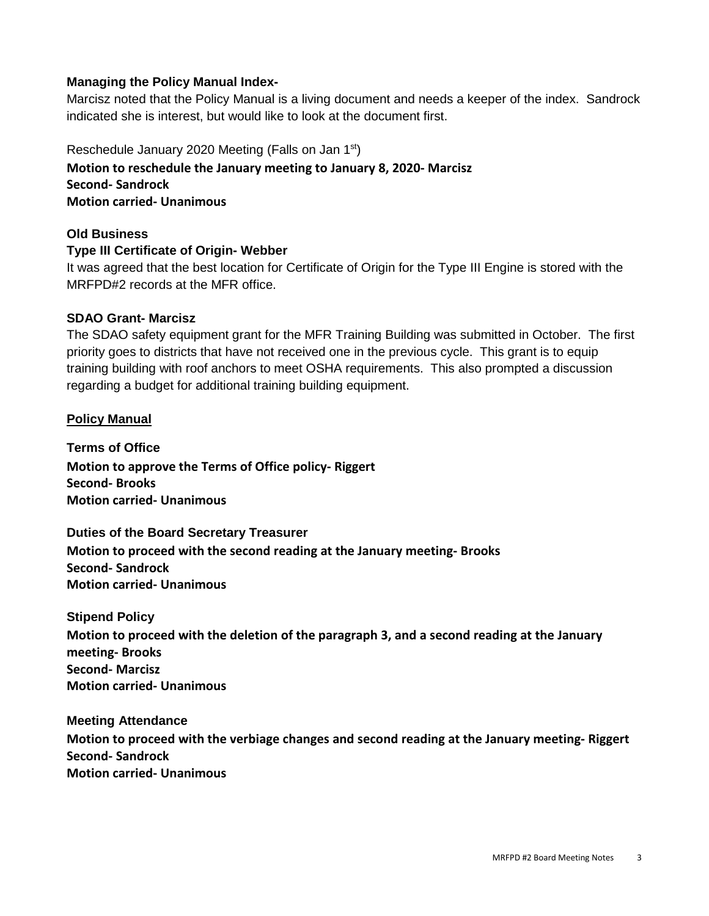## **Managing the Policy Manual Index-**

Marcisz noted that the Policy Manual is a living document and needs a keeper of the index. Sandrock indicated she is interest, but would like to look at the document first.

Reschedule January 2020 Meeting (Falls on Jan 1st) **Motion to reschedule the January meeting to January 8, 2020- Marcisz Second- Sandrock Motion carried- Unanimous** 

## **Old Business**

# **Type III Certificate of Origin- Webber**

It was agreed that the best location for Certificate of Origin for the Type III Engine is stored with the MRFPD#2 records at the MFR office.

# **SDAO Grant- Marcisz**

The SDAO safety equipment grant for the MFR Training Building was submitted in October. The first priority goes to districts that have not received one in the previous cycle. This grant is to equip training building with roof anchors to meet OSHA requirements. This also prompted a discussion regarding a budget for additional training building equipment.

# **Policy Manual**

**Terms of Office Motion to approve the Terms of Office policy- Riggert Second- Brooks Motion carried- Unanimous** 

**Duties of the Board Secretary Treasurer Motion to proceed with the second reading at the January meeting- Brooks Second- Sandrock Motion carried- Unanimous** 

## **Stipend Policy**

**Motion to proceed with the deletion of the paragraph 3, and a second reading at the January meeting- Brooks Second- Marcisz Motion carried- Unanimous**

**Meeting Attendance** 

**Motion to proceed with the verbiage changes and second reading at the January meeting- Riggert Second- Sandrock Motion carried- Unanimous**